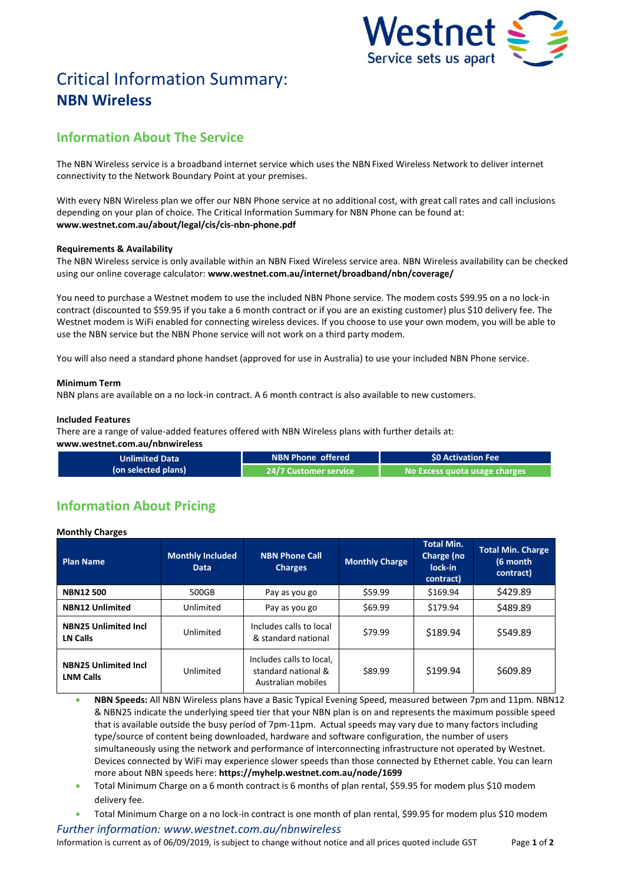

# Critical Information Summary: **NBN Wireless**

# **Information About The Service**

The NBN Wireless service is a broadband internet service which uses the NBN Fixed Wireless Network to deliver internet connectivity to the Network Boundary Point at your premises.

With every NBN Wireless plan we offer our NBN Phone service at no additional cost, with great call rates and call inclusions depending on your plan of choice. The Critical Information Summary for NBN Phone can be found at: **www.westnet.com.au/about/legal/cis/cis-nbn-phone.pdf**

## **Requirements & Availability**

The NBN Wireless service is only available within an NBN Fixed Wireless service area. NBN Wireless availability can be checked using our online coverage calculator: **www.westnet.com.au/internet/broadband/nbn/coverage/**

You need to purchase a Westnet modem to use the included NBN Phone service. The modem costs \$99.95 on a no lock-in contract (discounted to \$59.95 if you take a 6 month contract or if you are an existing customer) plus \$10 delivery fee. The Westnet modem is WiFi enabled for connecting wireless devices. If you choose to use your own modem, you will be able to use the NBN service but the NBN Phone service will not work on a third party modem.

You will also need a standard phone handset (approved for use in Australia) to use your included NBN Phone service.

### **Minimum Term**

NBN plans are available on a no lock-in contract. A 6 month contract is also available to new customers.

#### **Included Features**

There are a range of value-added features offered with NBN Wireless plans with further details at:

**www.westnet.com.au/nbnwireless**

| Unlimited Data      | NBN Phone offered            | SO Activation Fee             |  |
|---------------------|------------------------------|-------------------------------|--|
| (on selected plans) | <b>24/7 Customer service</b> | No Excess quota usage charges |  |

# **Information About Pricing**

**Monthly Charges**

| <b>Plan Name</b>                                | <b>Monthly Included</b><br><b>Data</b> | <b>NBN Phone Call</b><br><b>Charges</b>                               | <b>Monthly Charge</b> | <b>Total Min.</b><br>Charge (no<br>lock-in<br>contract) | <b>Total Min. Charge</b><br>(6 month<br>contract) |
|-------------------------------------------------|----------------------------------------|-----------------------------------------------------------------------|-----------------------|---------------------------------------------------------|---------------------------------------------------|
| <b>NBN12500</b>                                 | 500GB                                  | Pay as you go                                                         | \$59.99               | \$169.94                                                | \$429.89                                          |
| <b>NBN12 Unlimited</b>                          | Unlimited                              | Pay as you go                                                         | \$69.99               | \$179.94                                                | \$489.89                                          |
| <b>NBN25 Unlimited Incl</b><br>LN Calls         | Unlimited                              | Includes calls to local<br>& standard national                        | \$79.99               | \$189.94                                                | \$549.89                                          |
| <b>NBN25 Unlimited Incl</b><br><b>LNM Calls</b> | Unlimited                              | Includes calls to local,<br>standard national &<br>Australian mobiles | \$89.99               | \$199.94                                                | \$609.89                                          |

 **NBN Speeds:** All NBN Wireless plans have a Basic Typical Evening Speed, measured between 7pm and 11pm. NBN12 & NBN25 indicate the underlying speed tier that your NBN plan is on and represents the maximum possible speed that is available outside the busy period of 7pm-11pm. Actual speeds may vary due to many factors including type/source of content being downloaded, hardware and software configuration, the number of users simultaneously using the network and performance of interconnecting infrastructure not operated by Westnet. Devices connected by WiFi may experience slower speeds than those connected by Ethernet cable. You can learn more about NBN speeds here: **https://myhelp.westnet.com.au/node/1699**

- Total Minimum Charge on a 6 month contract is 6 months of plan rental, \$59.95 for modem plus \$10 modem delivery fee.
- Total Minimum Charge on a no lock-in contract is one month of plan rental, \$99.95 for modem plus \$10 modem

*Further information: www.westnet.com.au/nbnwireless* Information is current as of 06/09/2019, is subject to change without notice and all prices quoted include GST Page **1** of **2**